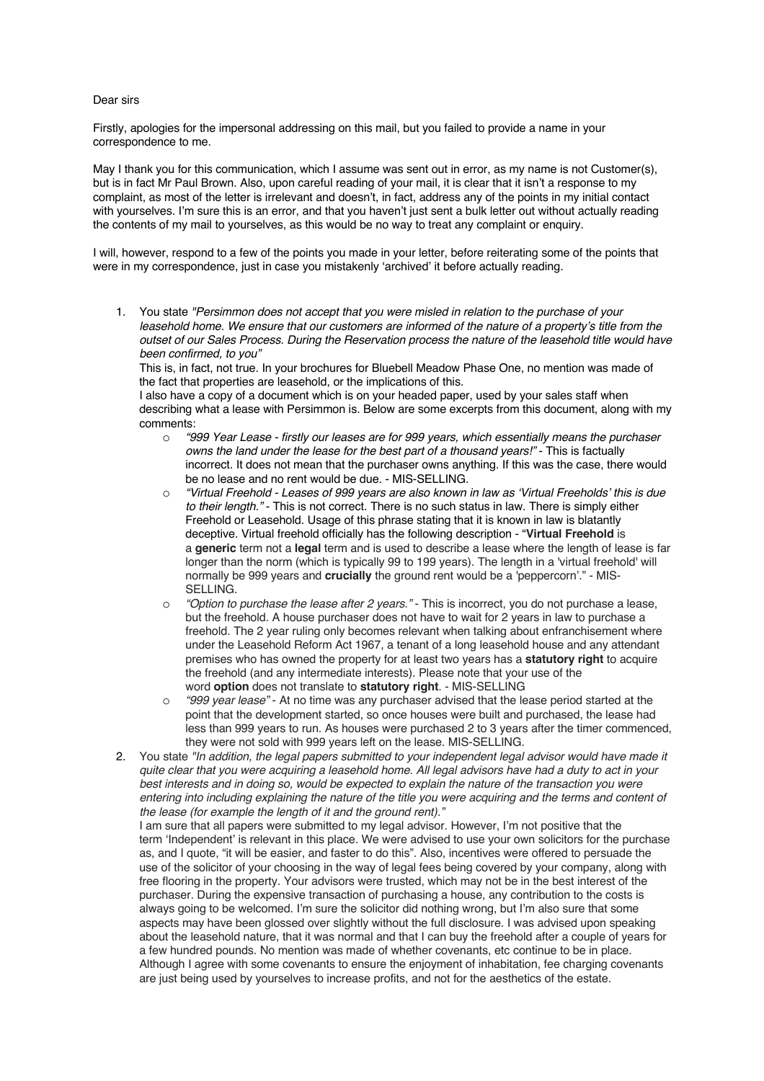## Dear sirs

Firstly, apologies for the impersonal addressing on this mail, but you failed to provide a name in your correspondence to me.

May I thank you for this communication, which I assume was sent out in error, as my name is not Customer(s), but is in fact Mr Paul Brown. Also, upon careful reading of your mail, it is clear that it isn't a response to my complaint, as most of the letter is irrelevant and doesn't, in fact, address any of the points in my initial contact with yourselves. I'm sure this is an error, and that you haven't just sent a bulk letter out without actually reading the contents of my mail to yourselves, as this would be no way to treat any complaint or enquiry.

I will, however, respond to a few of the points you made in your letter, before reiterating some of the points that were in my correspondence, just in case you mistakenly 'archived' it before actually reading.

1. You state *"Persimmon does not accept that you were misled in relation to the purchase of your*  leasehold home. We ensure that our customers are informed of the nature of a property's title from the *outset of our Sales Process. During the Reservation process the nature of the leasehold title would have been confirmed, to you"*

This is, in fact, not true. In your brochures for Bluebell Meadow Phase One, no mention was made of the fact that properties are leasehold, or the implications of this.

I also have a copy of a document which is on your headed paper, used by your sales staff when describing what a lease with Persimmon is. Below are some excerpts from this document, along with my comments:

- o *"999 Year Lease - firstly our leases are for 999 years, which essentially means the purchaser owns the land under the lease for the best part of a thousand years!"* - This is factually incorrect. It does not mean that the purchaser owns anything. If this was the case, there would be no lease and no rent would be due. - MIS-SELLING.
- o *"Virtual Freehold - Leases of 999 years are also known in law as 'Virtual Freeholds' this is due to their length."* - This is not correct. There is no such status in law. There is simply either Freehold or Leasehold. Usage of this phrase stating that it is known in law is blatantly deceptive. Virtual freehold officially has the following description - "**Virtual Freehold** is a **generic** term not a **legal** term and is used to describe a lease where the length of lease is far longer than the norm (which is typically 99 to 199 years). The length in a 'virtual freehold' will normally be 999 years and **crucially** the ground rent would be a 'peppercorn'." - MIS-SELLING.
- o *"Option to purchase the lease after 2 years."* This is incorrect, you do not purchase a lease, but the freehold. A house purchaser does not have to wait for 2 years in law to purchase a freehold. The 2 year ruling only becomes relevant when talking about enfranchisement where under the Leasehold Reform Act 1967, a tenant of a long leasehold house and any attendant premises who has owned the property for at least two years has a **statutory right** to acquire the freehold (and any intermediate interests). Please note that your use of the word **option** does not translate to **statutory right**. - MIS-SELLING
- o *"999 year lease"* At no time was any purchaser advised that the lease period started at the point that the development started, so once houses were built and purchased, the lease had less than 999 years to run. As houses were purchased 2 to 3 years after the timer commenced, they were not sold with 999 years left on the lease. MIS-SELLING.
- 2. You state *"In addition, the legal papers submitted to your independent legal advisor would have made it quite clear that you were acquiring a leasehold home. All legal advisors have had a duty to act in your best interests and in doing so, would be expected to explain the nature of the transaction you were entering into including explaining the nature of the title you were acquiring and the terms and content of the lease (for example the length of it and the ground rent)."*

I am sure that all papers were submitted to my legal advisor. However, I'm not positive that the term 'Independent' is relevant in this place. We were advised to use your own solicitors for the purchase as, and I quote, "it will be easier, and faster to do this". Also, incentives were offered to persuade the use of the solicitor of your choosing in the way of legal fees being covered by your company, along with free flooring in the property. Your advisors were trusted, which may not be in the best interest of the purchaser. During the expensive transaction of purchasing a house, any contribution to the costs is always going to be welcomed. I'm sure the solicitor did nothing wrong, but I'm also sure that some aspects may have been glossed over slightly without the full disclosure. I was advised upon speaking about the leasehold nature, that it was normal and that I can buy the freehold after a couple of years for a few hundred pounds. No mention was made of whether covenants, etc continue to be in place. Although I agree with some covenants to ensure the enjoyment of inhabitation, fee charging covenants are just being used by yourselves to increase profits, and not for the aesthetics of the estate.